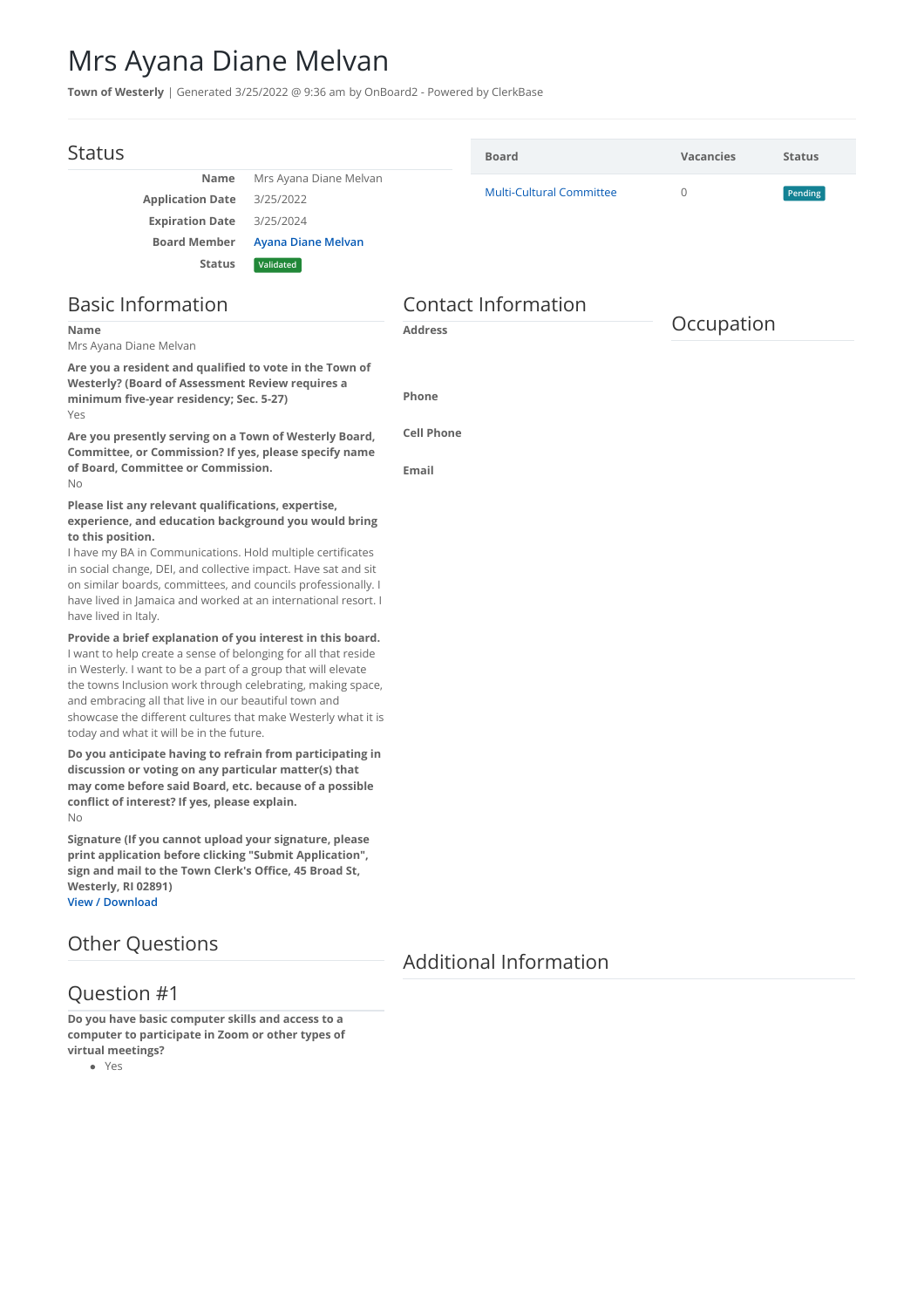## Mrs Ayana Diane Melvan

**Town of Westerly** | Generated 3/25/2022 @ 9:36 am by OnBoard2 - Powered by ClerkBase

| <b>Status</b>                                                                                                                                                                                                                                                                                                                                                                                                                      |                                                                                     |                            | <b>Board</b>                    | <b>Vacancies</b> | <b>Status</b> |
|------------------------------------------------------------------------------------------------------------------------------------------------------------------------------------------------------------------------------------------------------------------------------------------------------------------------------------------------------------------------------------------------------------------------------------|-------------------------------------------------------------------------------------|----------------------------|---------------------------------|------------------|---------------|
| Name<br><b>Application Date</b><br><b>Expiration Date</b><br><b>Board Member</b><br><b>Status</b>                                                                                                                                                                                                                                                                                                                                  | Mrs Ayana Diane Melvan<br>3/25/2022<br>3/25/2024<br>Ayana Diane Melvan<br>Validated |                            | <b>Multi-Cultural Committee</b> | $\mathbf{0}$     | Pending       |
| <b>Basic Information</b>                                                                                                                                                                                                                                                                                                                                                                                                           |                                                                                     | <b>Contact Information</b> |                                 |                  |               |
| Name<br>Mrs Ayana Diane Melvan                                                                                                                                                                                                                                                                                                                                                                                                     |                                                                                     | <b>Address</b>             |                                 | Occupation       |               |
| Are you a resident and qualified to vote in the Town of<br><b>Westerly? (Board of Assessment Review requires a</b><br>minimum five-year residency; Sec. 5-27)<br>Yes                                                                                                                                                                                                                                                               |                                                                                     | <b>Phone</b>               |                                 |                  |               |
| Are you presently serving on a Town of Westerly Board,<br>Committee, or Commission? If yes, please specify name<br>of Board, Committee or Commission.<br>No                                                                                                                                                                                                                                                                        |                                                                                     | <b>Cell Phone</b><br>Email |                                 |                  |               |
| Please list any relevant qualifications, expertise,<br>experience, and education background you would bring<br>to this position.<br>I have my BA in Communications. Hold multiple certificates<br>in social change, DEI, and collective impact. Have sat and sit<br>on similar boards, committees, and councils professionally. I<br>have lived in Jamaica and worked at an international resort. I<br>have lived in Italy.        |                                                                                     |                            |                                 |                  |               |
| Provide a brief explanation of you interest in this board.<br>I want to help create a sense of belonging for all that reside<br>in Westerly. I want to be a part of a group that will elevate<br>the towns Inclusion work through celebrating, making space,<br>and embracing all that live in our beautiful town and<br>showcase the different cultures that make Westerly what it is<br>today and what it will be in the future. |                                                                                     |                            |                                 |                  |               |
| Do you anticipate having to refrain from participating in<br>discussion or voting on any particular matter(s) that<br>may come before said Board, etc. because of a possible<br>conflict of interest? If yes, please explain.<br>No                                                                                                                                                                                                |                                                                                     |                            |                                 |                  |               |
| Signature (If you cannot upload your signature, please<br>print application before clicking "Submit Application",<br>sign and mail to the Town Clerk's Office, 45 Broad St,<br>Westerly, RI 02891)<br><b>View / Download</b>                                                                                                                                                                                                       |                                                                                     |                            |                                 |                  |               |
| <b>Other Questions</b>                                                                                                                                                                                                                                                                                                                                                                                                             |                                                                                     |                            | <b>Additional Information</b>   |                  |               |

## Question #1

**Do you have basic computer skills and access to a computer to participate in Zoom or other types of virtual meetings?**

Yes